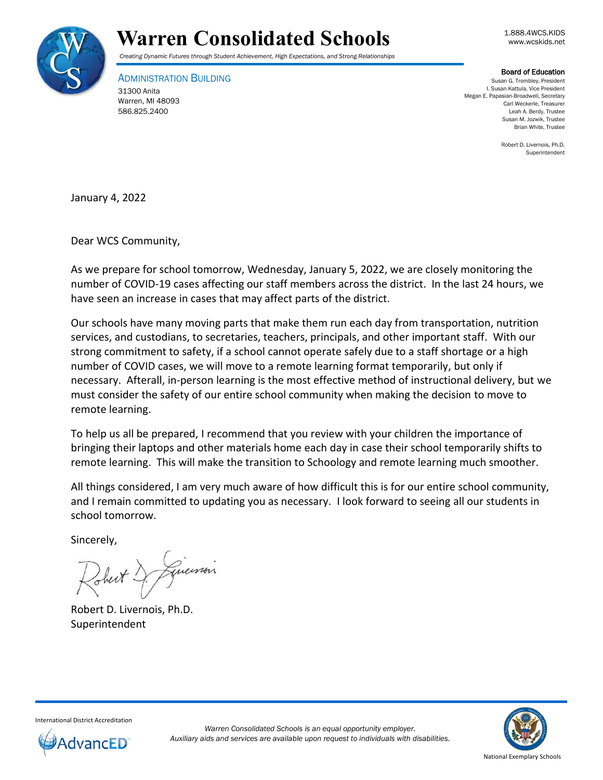



*Creating Dynamic Futures through Student Achievement, High Expectations, and Strong Relationships*

ADMINISTRATION BUILDING 31300 Anita Warren, MI 48093 586.825.2400

Board of Education

Susan G. Trombley, President I. Susan Kattula, Vice President Megan E. Papasian-Broadwell, Secretary Carl Weckerle, Treasurer Leah A. Berdy, Trustee Susan M. Jozwik, Trustee Brian White, Trustee

> Robert D. Livernois, Ph.D. Superintendent

January 4, 2022

Dear WCS Community,

As we prepare for school tomorrow, Wednesday, January 5, 2022, we are closely monitoring the number of COVID-19 cases affecting our staff members across the district. In the last 24 hours, we have seen an increase in cases that may affect parts of the district.

Our schools have many moving parts that make them run each day from transportation, nutrition services, and custodians, to secretaries, teachers, principals, and other important staff. With our strong commitment to safety, if a school cannot operate safely due to a staff shortage or a high number of COVID cases, we will move to a remote learning format temporarily, but only if necessary. Afterall, in-person learning is the most effective method of instructional delivery, but we must consider the safety of our entire school community when making the decision to move to remote learning.

To help us all be prepared, I recommend that you review with your children the importance of bringing their laptops and other materials home each day in case their school temporarily shifts to remote learning. This will make the transition to Schoology and remote learning much smoother.

All things considered, I am very much aware of how difficult this is for our entire school community, and I remain committed to updating you as necessary. I look forward to seeing all our students in school tomorrow.

Sincerely,

Just & Guernois

Robert D. Livernois, Ph.D. Superintendent



International District Accreditation